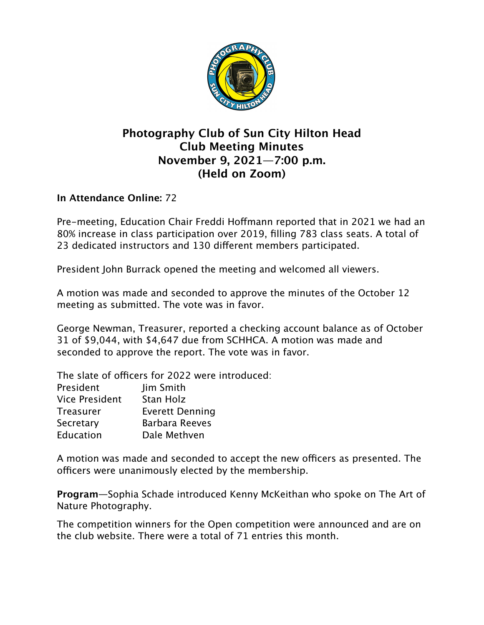

## **Photography Club of Sun City Hilton Head Club Meeting Minutes November 9, 2021—7:00 p.m. (Held on Zoom)**

## **In Attendance Online:** 72

Pre-meeting, Education Chair Freddi Hoffmann reported that in 2021 we had an 80% increase in class participation over 2019, filling 783 class seats. A total of 23 dedicated instructors and 130 different members participated.

President John Burrack opened the meeting and welcomed all viewers.

A motion was made and seconded to approve the minutes of the October 12 meeting as submitted. The vote was in favor.

George Newman, Treasurer, reported a checking account balance as of October 31 of \$9,044, with \$4,647 due from SCHHCA. A motion was made and seconded to approve the report. The vote was in favor.

The slate of officers for 2022 were introduced:

| President             | Jim Smith              |
|-----------------------|------------------------|
| <b>Vice President</b> | Stan Holz              |
| <b>Treasurer</b>      | <b>Everett Denning</b> |
| Secretary             | <b>Barbara Reeves</b>  |
| Education             | Dale Methven           |
|                       |                        |

A motion was made and seconded to accept the new officers as presented. The officers were unanimously elected by the membership.

**Program**—Sophia Schade introduced Kenny McKeithan who spoke on The Art of Nature Photography.

The competition winners for the Open competition were announced and are on the club website. There were a total of 71 entries this month.